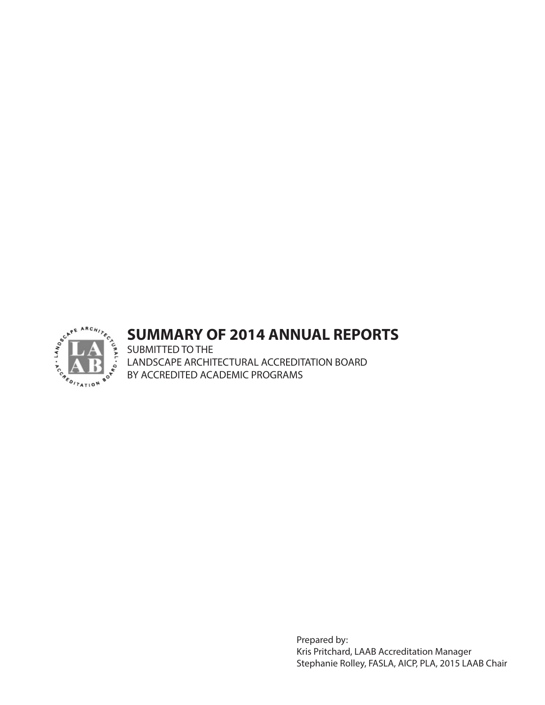

# **SUMMARY OF 2014 ANNUAL REPORTS**

SUBMITTED TO THE LANDSCAPE ARCHITECTURAL ACCREDITATION BOARD BY ACCREDITED ACADEMIC PROGRAMS

> Prepared by: Kris Pritchard, LAAB Accreditation Manager Stephanie Rolley, FASLA, AICP, PLA, 2015 LAAB Chair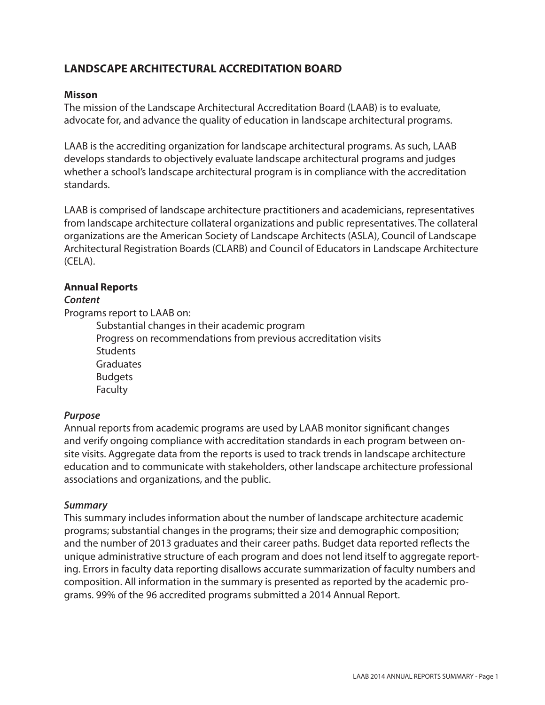# **LANDSCAPE ARCHITECTURAL ACCREDITATION BOARD**

#### **Misson**

The mission of the Landscape Architectural Accreditation Board (LAAB) is to evaluate, advocate for, and advance the quality of education in landscape architectural programs.

LAAB is the accrediting organization for landscape architectural programs. As such, LAAB develops standards to objectively evaluate landscape architectural programs and judges whether a school's landscape architectural program is in compliance with the accreditation standards.

LAAB is comprised of landscape architecture practitioners and academicians, representatives from landscape architecture collateral organizations and public representatives. The collateral organizations are the American Society of Landscape Architects (ASLA), Council of Landscape Architectural Registration Boards (CLARB) and Council of Educators in Landscape Architecture (CELA).

#### **Annual Reports**

#### *Content*

Programs report to LAAB on:

Substantial changes in their academic program Progress on recommendations from previous accreditation visits **Students Graduates** Budgets Faculty

#### *Purpose*

Annual reports from academic programs are used by LAAB monitor significant changes and verify ongoing compliance with accreditation standards in each program between onsite visits. Aggregate data from the reports is used to track trends in landscape architecture education and to communicate with stakeholders, other landscape architecture professional associations and organizations, and the public.

#### *Summary*

This summary includes information about the number of landscape architecture academic programs; substantial changes in the programs; their size and demographic composition; and the number of 2013 graduates and their career paths. Budget data reported reflects the unique administrative structure of each program and does not lend itself to aggregate reporting. Errors in faculty data reporting disallows accurate summarization of faculty numbers and composition. All information in the summary is presented as reported by the academic programs. 99% of the 96 accredited programs submitted a 2014 Annual Report.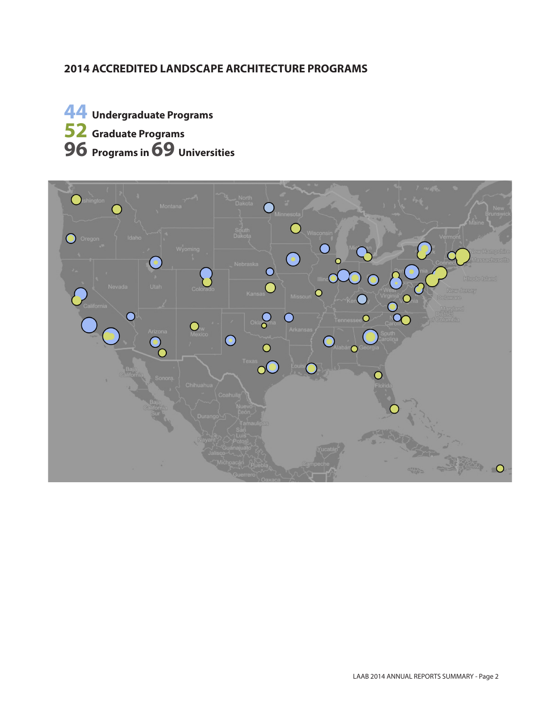# **2014 ACCREDITED LANDSCAPE ARCHITECTURE PROGRAMS**

**44 Undergraduate Programs 52 Graduate Programs 96 Programs in 69 Universities**

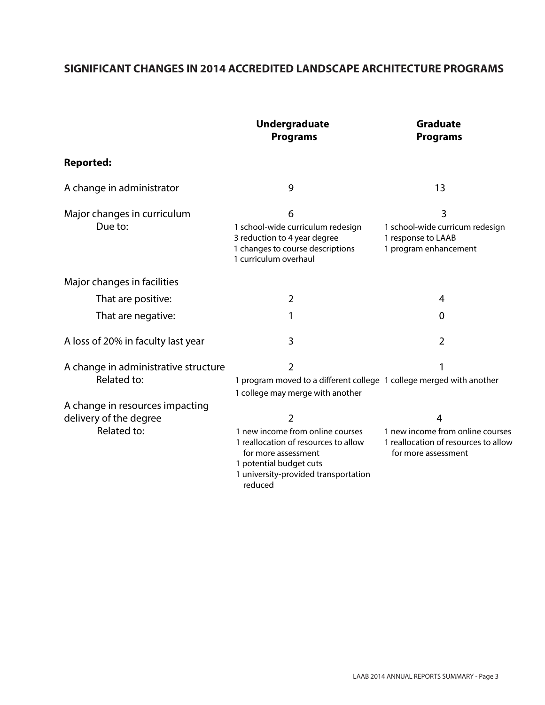# **SIGNIFICANT CHANGES IN 2014 ACCREDITED LANDSCAPE ARCHITECTURE PROGRAMS**

|                                                     | <b>Undergraduate</b><br><b>Programs</b>                                                                                                                                       | <b>Graduate</b><br><b>Programs</b>                                                              |
|-----------------------------------------------------|-------------------------------------------------------------------------------------------------------------------------------------------------------------------------------|-------------------------------------------------------------------------------------------------|
| <b>Reported:</b>                                    |                                                                                                                                                                               |                                                                                                 |
| A change in administrator                           | 9                                                                                                                                                                             | 13                                                                                              |
| Major changes in curriculum<br>Due to:              | 6<br>1 school-wide curriculum redesign<br>3 reduction to 4 year degree<br>1 changes to course descriptions<br>1 curriculum overhaul                                           | 3<br>1 school-wide curricum redesign<br>1 response to LAAB<br>1 program enhancement             |
| Major changes in facilities                         |                                                                                                                                                                               |                                                                                                 |
| That are positive:                                  | 2                                                                                                                                                                             | 4                                                                                               |
| That are negative:                                  |                                                                                                                                                                               | 0                                                                                               |
| A loss of 20% in faculty last year                  | 3                                                                                                                                                                             | $\overline{2}$                                                                                  |
| A change in administrative structure<br>Related to: | $\overline{2}$<br>1 program moved to a different college 1 college merged with another<br>1 college may merge with another                                                    | 1                                                                                               |
| A change in resources impacting                     |                                                                                                                                                                               |                                                                                                 |
| delivery of the degree                              | 2                                                                                                                                                                             | 4                                                                                               |
| Related to:                                         | 1 new income from online courses<br>1 reallocation of resources to allow<br>for more assessment<br>1 potential budget cuts<br>1 university-provided transportation<br>reduced | 1 new income from online courses<br>1 reallocation of resources to allow<br>for more assessment |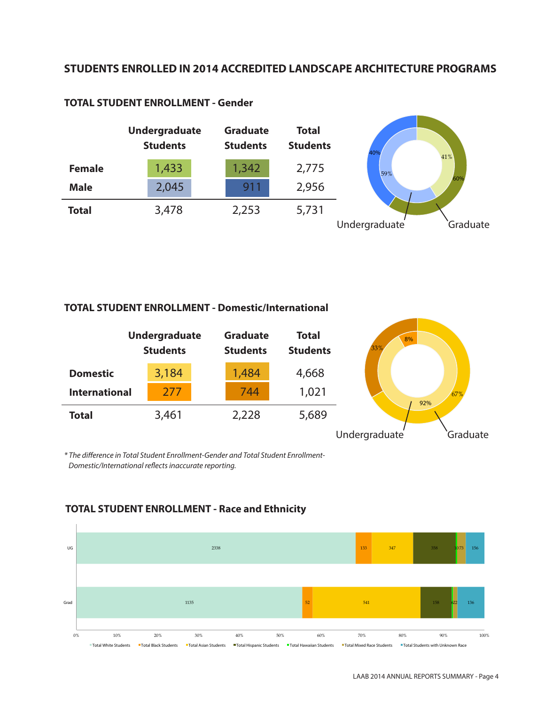### **STUDENTS ENROLLED IN 2014 ACCREDITED LANDSCAPE ARCHITECTURE PROGRAMS**



#### **TOTAL STUDENT ENROLLMENT - Gender**

#### **TOTAL STUDENT ENROLLMENT - Domestic/International**



*\* The difference in Total Student Enrollment-Gender and Total Student Enrollment-Domestic/International reflects inaccurate reporting.* 



## **TOTAL STUDENT ENROLLMENT - Race and Ethnicity**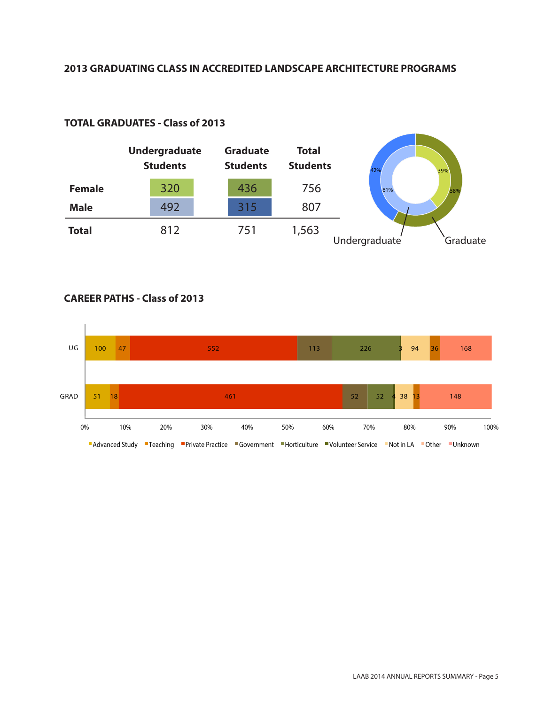#### **2013 GRADUATING CLASS IN ACCREDITED LANDSCAPE ARCHITECTURE PROGRAMS**



### **TOTAL GRADUATES - Class of 2013**

### **CAREER PATHS - Class of 2013**